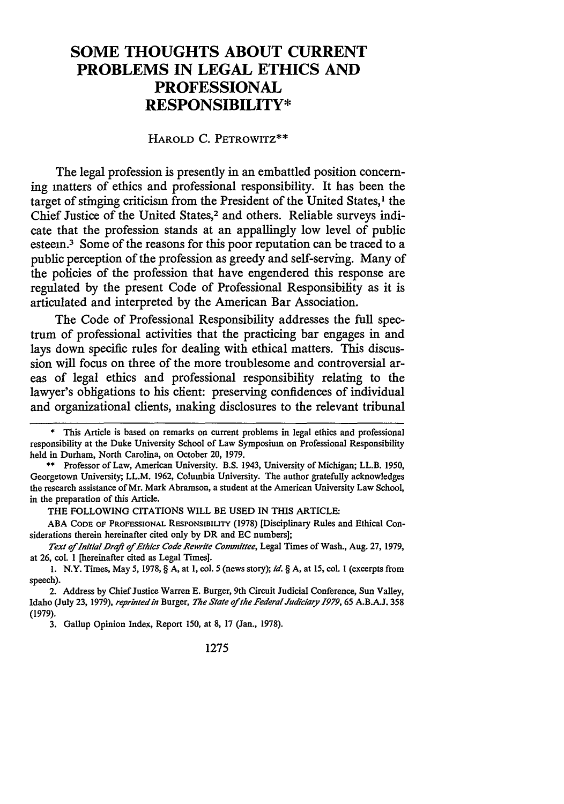# **SOME THOUGHTS ABOUT CURRENT PROBLEMS IN LEGAL ETHICS AND PROFESSIONAL RESPONSIBILITY\***

## HAROLD C. PETROWITZ\*\*

The legal profession is presently in an embattled position concerning matters of ethics and professional responsibility. It has been the target of stinging criticism from the President of the United States,' the Chief Justice of the United States,<sup>2</sup> and others. Reliable surveys indicate that the profession stands at an appallingly low level of public esteem.3 Some of the reasons for this poor reputation can be traced to a public perception of the profession as greedy and self-serving. Many of the policies of the profession that have engendered this response are regulated **by** the present Code of Professional Responsibility as it is articulated and interpreted **by** the American Bar Association.

The Code of Professional Responsibility addresses the full spectrum of professional activities that the practicing bar engages in and lays down specific rules for dealing with ethical matters. This discussion will focus on three of the more troublesome and controversial areas of legal ethics and professional responsibility relating to the lawyer's obligations to his client: preserving confidences of individual and organizational clients, making disclosures to the relevant tribunal

THE FOLLOWING CITATIONS WILL BE USED IN THIS ARTICLE:

**ABA CODE OF PROFESSIONAL** RESPONSIBILITY **(1978)** [Disciplinary Rules **and Ethical Con**siderations therein hereinafter cited only by DR and **EC** numbers];

*Text of Initial Draft of Ethics Code Rewrite Committee,* **Legal Times of Wash.,** Aug. **27, 1979,** at 26, col. **I** [hereinafter cited as Legal Times].

**3.** Gallup Opinion Index, Report **150,** at **8, 17** (Jan., **1978).**

<sup>\*</sup> This Article is based on remarks on current problems in legal ethics and professional responsibility at the Duke University School of Law Symposium on Professional Responsibility held in Durham, North Carolina, on October 20, 1979.

<sup>\*\*</sup> Professor of Law, American University. B.S. 1943, University of Michigan; LL.B. 1950, Georgetown University; LL.M. 1962, Columbia University. The author gratefully acknowledges the research assistance of Mr. Mark Abramson, a student at the American University Law School, in the preparation of this Article.

I. N.Y. Times, May 5, 1978, § **A,** at 1, col. 5 (news story); *id.* § **A,** at 15, col. I (excerpts from speech).

<sup>2.</sup> Address by Chief Justice Warren E. Burger, 9th Circuit Judicial Conference, Sun Valley, **Idaho** (July **23,** 1979), *reprinted in* Burger, *The State of the Federal Judiciary 1979,* 65 A.B.A.J. 358 **(1979).**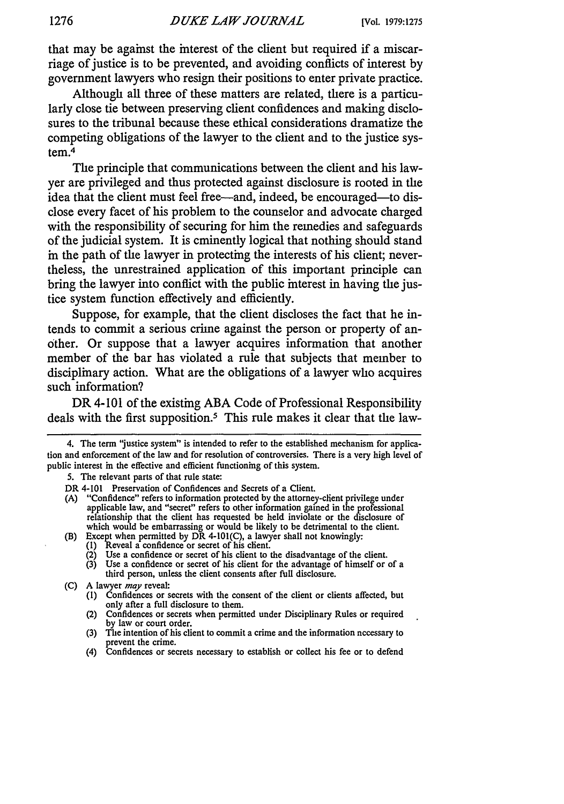that may be against the interest of the client but required if a miscarriage of justice is to be prevented, and avoiding conflicts of interest by government lawyers who resign their positions to enter private practice.

Although all three of these matters are related, there is a particularly close tie between preserving client confidences and making disclosures to the tribunal because these ethical considerations dramatize the competing obligations of the lawyer to the client and to the justice system.<sup>4</sup>

The principle that communications between the client and his lawyer are privileged and thus protected against disclosure is rooted in the idea that the client must feel free—and, indeed, be encouraged—to disclose every facet of his problem to the counselor and advocate charged with the responsibility of securing for him the remedies and safeguards of the judicial system. It is eminently logical that nothing should stand in the path of the lawyer in protecting the interests of his client; nevertheless, the unrestrained application of this important principle can bring the lawyer into conflict with the public interest in having the justice system function effectively and efficiently.

Suppose, for example, that the client discloses the fact that he intends to commit a serious crime against the person or property of another. Or suppose that a lawyer acquires information that another member of the bar has violated a rule that subjects that member to disciplinary action. What are the obligations of a lawyer who acquires such information?

DR 4-101 of the existing ABA Code of Professional Responsibility deals with the first supposition.<sup>5</sup> This rule makes it clear that the law-

**(1)** Reveal a confidence or secret of his client.

third person, unless the client consents after full disclosure.

<sup>4.</sup> The term "justice system" is intended to refer to the established mechanism for application and enforcement of the law and for resolution of controversies. There is a very high level of public interest in the effective and efficient functioning of this system.

<sup>5.</sup> The relevant parts of that rule state:

DR 4-101 Preservation of Confidences and Secrets of a Client.

<sup>(</sup>A) "Confidence" refers to information protected by the attorney-client privilege under applicable law, and "secret" refers to other information gained in the professional relationship that the client has requested be held inviolate or the disclosure of which would be embarrassing or would be likely to be detrimental to the client.

<sup>(</sup>B) Except when permitted by DR 4-101(C), a lawyer shall not knowingly:

 $\widetilde{C}(2)$  Use a confidence or secret of his client to the disadvantage of the client.<br>(3) Use a confidence or secret of his client for the advantage of himself or of a

<sup>(</sup>C) A lawyer may reveal:

**<sup>(1)</sup>** Confidences or secrets with the consent of the client or clients affected, but only after a full disclosure to them.

<sup>(2)</sup> Confidences or secrets when permitted under Disciplinary Rules or required by law or court order.

<sup>(3)</sup> The intention of his client to commit a crime and the information necessary to prevent the crime.

<sup>(4)</sup> Confidences or secrets necessary to establish or collect his fee or to defend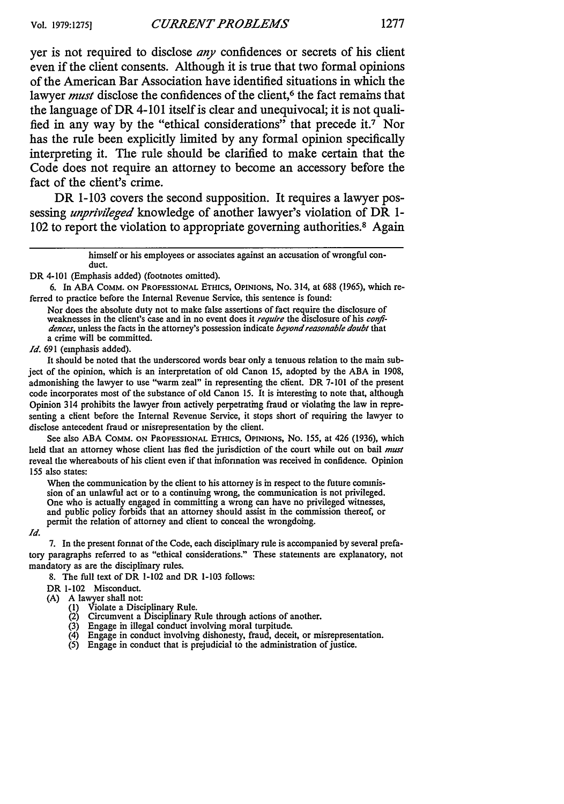yer is not required to disclose *any* confidences or secrets of his client even if the client consents. Although it is true that two formal opinions of the American Bar Association have identified situations in which the lawyer *must* disclose the confidences of the client,<sup>6</sup> the fact remains that the language of DR **4-101** itself is clear and unequivocal; it is not qualified in any way **by** the "ethical considerations" that precede it.7 Nor has the rule been explicitly limited **by** any formal opinion specifically interpreting it. The rule should be clarified to make certain that the Code does not require an attorney to become an accessory before the fact of the client's crime.

DR **1-103** covers the second supposition. It requires a lawyer possessing *unprivileged* knowledge of another lawyer's violation of DR **1-** 102 to report the violation to appropriate governing authorities.8 Again

> himself or his employees or associates against an accusation of wrongful con duct.

DR 4-101 (Emphasis added) (footnotes omitted).

6. In ABA COMM. **ON** PROFESSIONAL ETHICS, OPINIONS, No. 314, at 688 (1965), which referred to practice before the Internal Revenue Service, this sentence is found:

Nor does the absolute duty not to make false assertions of fact require the disclosure of weaknesses in the client's case and in no event does it *require* the disclosure of his *confdences,* unless the facts in the attorney's possession indicate *beyondreasonable doubt* that a crime will be committed.

*Id.* 691 (emphasis added).

It should be noted that the underscored words bear only a tenuous relation to the main subject of the opinion, which is an interpretation of old Canon 15, adopted by the ABA in 1908, admonishing the lawyer to use "warm zeal" in representing the client. DR 7-101 of the present code incorporates most of the substance of old Canon 15. It is interesting to note that, although Opinion 314 prohibits the lawyer from actively perpetrating fraud or violating the law in representing a client before the Internal Revenue Service, it stops short of requiring the lawyer to disclose antecedent fraud or misrepresentation by the client.

See also ABA COMM. ON PROFESSIONAL **ETHICS,** OPINIONS, No. 155, at 426 **(1936),** which held that an attorney whose client has fled the jurisdiction of the court while out on bail *must* reveal the whereabouts of his client even if that information was received in confidence. Opinion 155 also states:

When the communication by the client to his attorney is in respect to the future commission of an unlawful act or to a continuing wrong, the communication is not privileged. One who is actually engaged in committing a wrong can have no privileged witnesses, and public policy forbids that an attorney should assist in the commission thereof, or permit the relation of attorney and client to conceal the wrongdoing.

#### *Id.*

7. In the present format of the Code, each disciplinary rule is accompanied by several prefatory paragraphs referred to as "ethical considerations." These statements are explanatory, not mandatory as are the disciplinary rules.

8. The full text of DR 1-102 and DR 1-103 follows:

DR 1-102 Misconduct.

- (A) A lawyer shall not:<br>(1) Violate a Disciplinary Rule.
	- **(1)** Violate a Disciplinary **Rule.** (2) Circumvent a Disciplinary Rule through actions of another.
	-
	- (3) Engage in illegal conduct involving moral turpitude. (4) Engage in conduct involving dishonesty, fraud, deceit, or misrepresentation.
	- (5) Engage in conduct that is prejudicial to the administration of justice.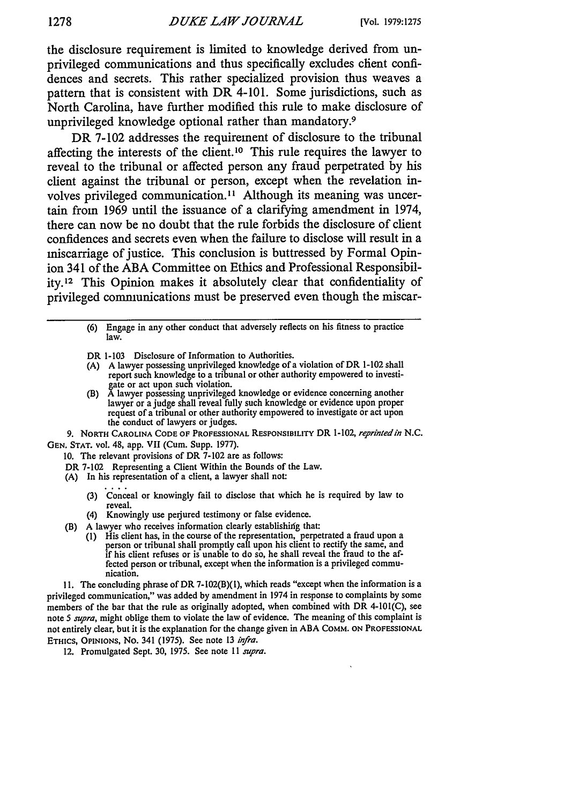the disclosure requirement is limited to knowledge derived from unprivileged communications and thus specifically excludes client confidences and secrets. This rather specialized provision thus weaves a pattern that is consistent with DR 4-101. Some jurisdictions, such as North Carolina, have further modified this rule to make disclosure of unprivileged knowledge optional rather than mandatory.<sup>9</sup>

DR 7-102 addresses the requirement of disclosure to the tribunal affecting the interests of the client.<sup>10</sup> This rule requires the lawyer to reveal to the tribunal or affected person any fraud perpetrated by his client against the tribunal or person, except when the revelation involves privileged communication.<sup>11</sup> Although its meaning was uncertain from 1969 until the issuance of a clarifying amendment in 1974, there can now be no doubt that the rule forbids the disclosure of client confidences and secrets even when the failure to disclose will result in a miscarriage of justice. This conclusion is buttressed by Formal Opinion 341 of the ABA Committee on Ethics and Professional Responsibility.<sup>12</sup> This Opinion makes it absolutely clear that confidentiality of privileged communications must be preserved even though the miscar-

- **(6)** Engage in any other conduct that adversely reflects on his fitness to practice law.
- DR **1-103** Disclosure of Information to Authorities.
- **(A) A** lawyer possessing unprivileged knowledge of a violation of DR 1-102 shall report such knowledge to a tribunal or other authority empowered to investi-
- gate or act upon such violation. (B) A lawyer possessing unprivileged knowledge or evidence concerning another lawyer or a judge shall reveal fully such knowledge or evidence upon proper request of a tribunal or other authority empowered to investigate or act upon the conduct of lawyers or judges.

**9.** NORTH **CAROLINA CODE OF** PROFESSIONAL RESPONSIBILITY DR 1-102, *reprinted in* **N.C.**

**GEN. STAT.** vol. 48, app. VII (Cum. Supp. 1977).

10. The relevant provisions of DR 7-102 are as follows:

- DR 7-102 Representing a Client Within the Bounds of the Law.
- (A) In his representation of a client, a lawyer shall not:
	- (3) Conceal or knowingly fail to disclose that which he is required by law to reveal.
	- (4) Knowingly use perjured testimony or false evidence.
- (B) A lawyer who receives information clearly establishing that:
	- (1) His client has, in the course of the representation, perpetrated a fraud upon a person or tribunal shall promptly call upon his client to rectify the same, and if his client refuses or is unable to do so, he shall reve fected person or tribunal, except when the information is a privileged communication.

**1I.** The concluding phrase of DR 7-102(B)(1), which reads "except when the information is a privileged communication," was added by amendment in 1974 in response to complaints by some members of the bar that the rule as originally adopted, when combined with DR 4-I01(C), see note *5 supra,* might oblige them to violate the law of evidence. The meaning of this complaint is not entirely clear, but it is the explanation for the change given in ABA COMM. ON PROFESSIONAL ETHICS, OPINIONS, No. 341 (1975). See note 13 *infra.*

12. Promulgated Sept. 30, 1975. See note 11 *supra.*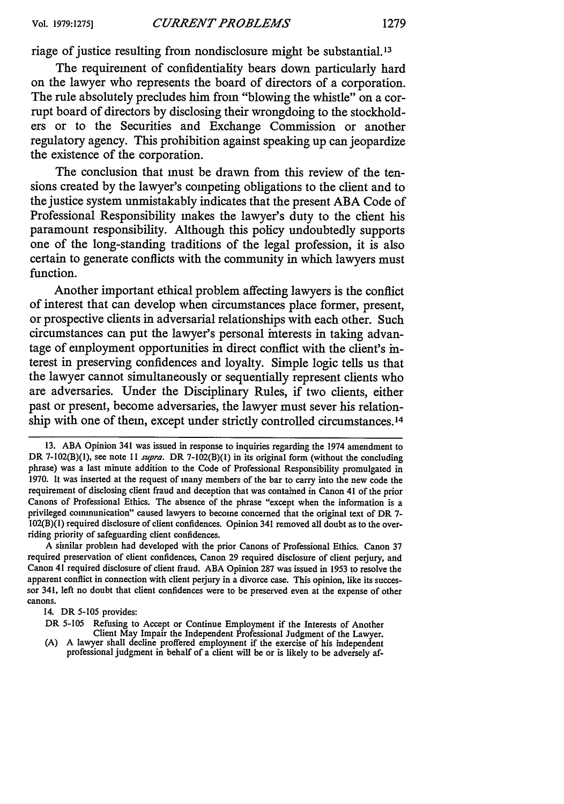riage of justice resulting from nondisclosure might be substantial. **13**

The requirement of confidentiality bears down particularly hard on the lawyer who represents the board of directors of a corporation. The rule absolutely precludes him from "blowing the whistle" on a corrupt board of directors **by** disclosing their wrongdoing to the stockholders or to the Securities and Exchange Commission or another regulatory agency. This prohibition against speaking up can jeopardize the existence of the corporation.

The conclusion that must be drawn from this review of the tensions created **by** the lawyer's competing obligations to the client and to the justice system unmistakably indicates that the present **ABA** Code of Professional Responsibility makes the lawyer's duty to the client his paramount responsibility. Although this policy undoubtedly supports one of the long-standing traditions of the legal profession, it is also certain to generate conflicts with the community in which lawyers must function.

Another important ethical problem affecting lawyers is the conflict of interest that can develop when circumstances place former, present, or prospective clients in adversarial relationships with each other. Such circumstances can put the lawyer's personal interests in taking advantage of employment opportunities in direct conflict with the client's interest in preserving confidences and loyalty. Simple logic **tells** us that the lawyer cannot simultaneously or sequentially represent clients who are adversaries. Under the Disciplinary Rules, if two clients, either past or present, become adversaries, the lawyer must sever his relationship with one of them, except under strictly controlled circumstances. **14**

13. ABA Opinion 341 was issued in response to inquiries regarding the 1974 amendment to DR 7-102(B)(1), see note 11 *supra*. DR 7-102(B)(1) in its original form (without the concluding phrase) was a last minute addition to the Code of Professional Responsibility promulgated in **1970.** It was inserted at the request of many members of the bar to carry into the new code the requirement of disclosing client fraud and deception that was contained in Canon 41 of the prior Canons of Professional Ethics. The absence of the phrase "except when the information is a privileged communication" caused lawyers to become concerned that the original text of DR 7- 102(B)(1) required disclosure of client confidences. Opinion 341 removed all doubt as to the overriding priority of safeguarding client confidences.

A similar problem had developed with the prior Canons of Professional Ethics. Canon 37 required preservation of client confidences, Canon 29 required disclosure of client perjury, and Canon 41 required disclosure of client fraud. ABA Opinion 287 was issued in 1953 to resolve the apparent conflict in connection with client perjury in a divorce case. This opinion, like its successor 341, left no doubt that client confidences were to be preserved even at the expense of other canons.

14. DR 5-105 provides:

- DR 5-105 Refusing to Accept or Continue Employment if the Interests of Another Client May Impair the Independent Professional Judgment of the Lawyer.
- (A) A lawyer shall decline proffered employment if the exercise of his independent professional judgment in behalf of a client will be or is likely to be adversely af-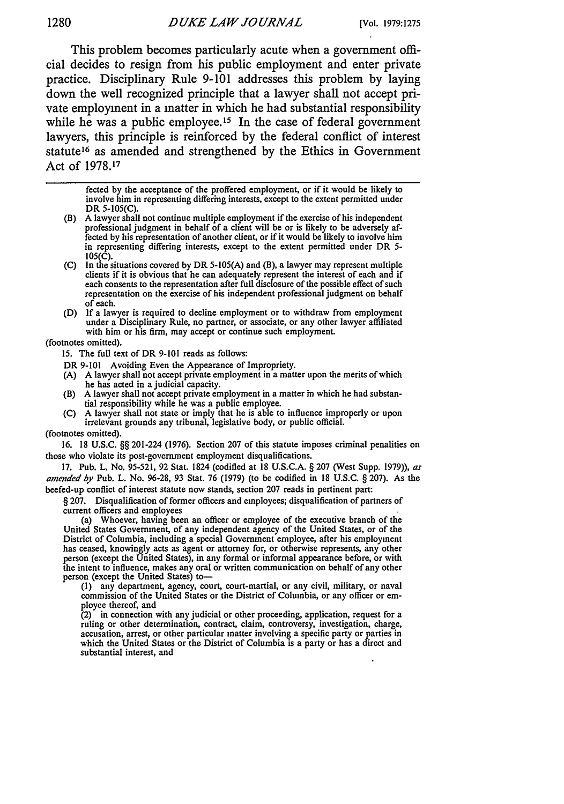This problem becomes particularly acute when a government official decides to resign from his public employment and enter private practice. Disciplinary Rule **9-101** addresses this problem **by** laying down the well recognized principle that a lawyer shall not accept private employment in a matter in which he had substantial responsibility while he was a public employee.<sup>15</sup> In the case of federal government lawyers, this principle is reinforced **by** the federal conflict of interest statute<sup>16</sup> as amended and strengthened by the Ethics in Government Act of **1978.' <sup>7</sup>**

> fected by the acceptance of the proffered employment, or if it would be likely to involve him in representing differing interests, except to the extent permitted under DR 5-105(C).

- (B) A lawyer shall not continue multiple employment if the exercise of his independent professional judgment in behalf of a client will be or is likely to be adversely affected by his representation of another client, or if it would be likely to involve him in representing differing interests, except to the extent permitted under DR 5- 105(C).
- **(C)** In the situations covered by DR 5-105(A) and (B), a lawyer may represent multiple clients if it is obvious that he can adequately represent the interest of each and if each consents to the representation after full disclosure of the possible effect of such representation on the exercise of his independent professional judgment on behalf of each.
- (D) If a lawyer is required to decline employment or to withdraw from employment under a Disciplinary Rule, no partner, or associate, or any other lawyer affiliated with him or his firm, may accept or continue such employment.

### (footnotes omitted).

15. The full text of DR 9-101 reads as follows:

- DR 9-101 Avoiding Even the Appearance of Impropriety.
- **(A)** A lawyer shall not accept private employment in a matter upon the merits ofwhich he has acted in a judicial capacity.
- (B) A lawyer shall not accept private employment in a matter in which he had substan-
- tial responsibility while he was a public employee. **(C)** *A* lawyer shall not state or imply that he is able to influence improperly or upon irrelevant grounds any tribunal, legislative body, or public official.

### (footnotes omitted).

16. 18 U.S.C. §§ 201-224 (1976). Section 207 of this statute imposes criminal penalities on those who violate its post-government employment disqualifications.

17. Pub. L. No. 95-521, 92 Stat. 1824 (codified at 18 U.S.C.A. § 207 (West Supp. 1979)), *as amended by* Pub. L. No. 96-28, 93 Stat. 76 (1979) (to be codified in 18 U.S.C. § 207). As the beefed-up conflict of interest statute now stands, section 207 reads in pertinent part:

§ 207. Disqualification of former officers and employees; disqualification of partners of current officers and employees

(a) Whoever, having been an officer or employee of the executive branch of the United States Government, of any independent agency of the United States, or of the District of Columbia, including a special Government employee, after his employment has ceased, knowingly acts as agent or attorney for, or otherwise represents, any other person (except the United States), in any formal or informal appearance before, or with the intent to influence, makes any oral or written communication on behalf of any other person (except the United States) to-

**(1)** any department, agency, court, court-martial, or any civil, military, or naval commission of the United States or the District of Columbia, or any officer or employee thereof, and (2) in connection with any judicial or other proceeding, application, request for a

ruling or other determination, contract, claim, controversy, investigation, charge, accusation, arrest, or other particular matter involving a specific party or parties in which the United States or the District of Columbia is a party or has a direct and substantial interest, and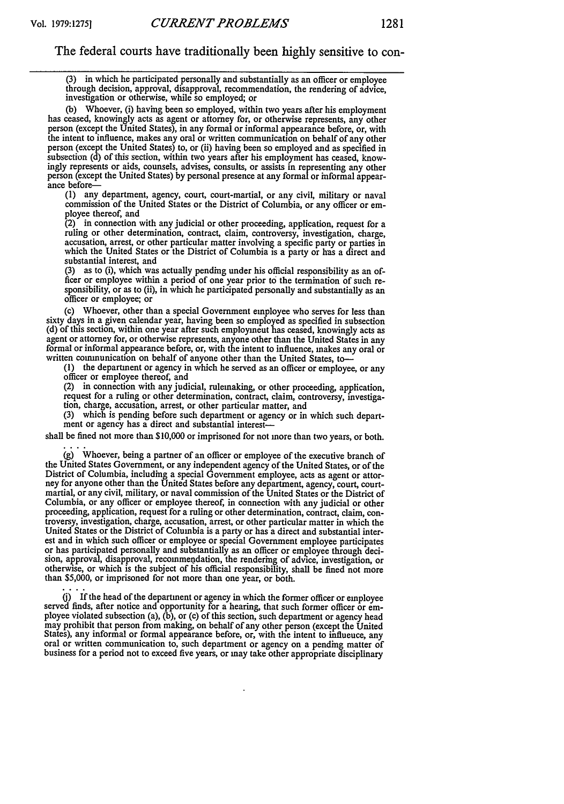### The federal courts have traditionally been **highly** sensitive to con-

**(3)** in which he participated personally and substantially as an officer or employee through decision, approval, disapproval, recommendation, the rendering of advice, investigation or otherwise, while so employed; or

(b) Whoever, (i) having been so employed, within two years after his employment has ceased, knowingly acts as agent or attorney for, or otherwise represents, any other person (except the United States), in any formal or informal appearance before, or, with the intent to influence, makes any oral or written communication on behalf of any other person (except the United States) to, or (ii) having been so employed and as specified in subsection (d) of this section, within two years after his employment has ceased, knowingly represents or aids, counsels, advises, consults, or assists in representing any other person (except the United States) by personal presence at any formal or informal appearance before-

**(1)** any department, agency, court, court-martial, or any civil, military or naval commission of the United States or the District of Columbia, or any officer or employee thereof, and

(2) in connection with any judicial or other proceeding, application, request for a ruling or other determination, contract, claim, controversy, investigation, charge, accusation, arrest, or other particular matter involving a specific party or parties in which the United States or the District of Columbia is a party or has a direct and substantial interest, and

(3) as to (i), which was actually pending under his official responsibility as an officer or employee within a period of one year prior to the termination of such responsibility, or as to (ii), in which he participated personally and substantially as an officer or employee; or

(c) Whoever, other than a special Government employee who serves for less than sixty days in a given calendar year, having been so employed as specified in subsection (d) of this section, within one year after such employment has ceased, knowingly acts as agent or attorney for, or otherwise represents, anyone other than the United States in any formal or informal appearance before, or, with the intent to influence, makes any oral or written communication on behalf of anyone other than the United States, to-

**(1)** the department or agency in which he served as an officer or employee, or any officer or employee thereof, and

(2) in connection with any judicial, rulemaking, or other proceeding, application, request for a ruling or other determination, contract, claim, controversy, investigation, charge, accusation, arrest, or other particular matter, and

(3) which is pending before such department or agency or in which such department or agency has a direct and substantial interest-

shall be fined not more than \$10,000 or imprisoned for not more than two years, or both.

(g) Whoever, being a partner of an officer or employee of the executive branch of the United States Government, or any independent agency of the United States, or of the District of Columbia, including a special Government employee, acts as agent or attorney for anyone other than the United States before any department, agency, court, courtmartial, or any civil, military, or naval commission of the United States or the District of Columbia, or any officer or employee thereof, in connection with any judicial or other proceeding, application, request for a ruling or other determination, contract, claim, con- troversy, investigation, charge, accusation, arrest, or other particular matter in which the United States or the District of Columbia is a party or has a direct and substantial interest and in which such officer or employee or special Government employee participates or has participated personally and substantially as an officer or employee through decision, approval, disapproval, recommendation, the rendering of advice, investigation, or otherwise, or which is the subject of his official responsibility, shall be fined not more than \$5,000, or imprisoned for not more tha

*(j)* If the head of the department or agency in which the former officer or employee served finds, after notice and opportunity for a hearing, that such former officer or employee violated subsection (a), (b), or (c) of this section, such department or agency head may prohibit that person from making, on behalf of any other person (except the United States), any informal or formal appearance before, or, with the intent to influence, any oral or written communication to, such department or agency on a pending matter of business for a period not to exceed five years, or may take other appropriate disciplinary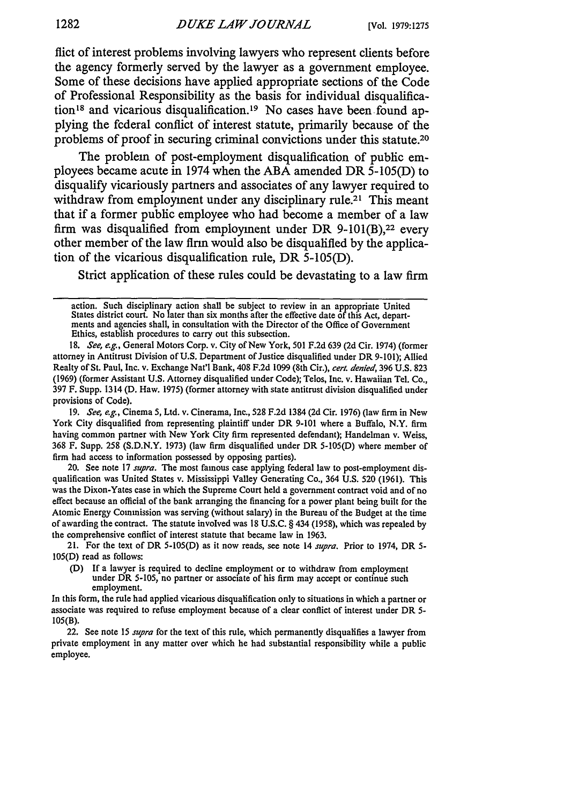flict of interest problems involving lawyers who represent clients before the agency formerly served by the lawyer as a government employee. Some of these decisions have applied appropriate sections of the Code of Professional Responsibility as the basis for individual disqualification<sup>18</sup> and vicarious disqualification.<sup>19</sup> No cases have been found applying the federal conflict of interest statute, primarily because of the problems of proof in securing criminal convictions under this statute. <sup>20</sup>

The problem of post-employment disqualification of public employees became acute in 1974 when the ABA amended DR 5-105(D) to disqualify vicariously partners and associates of any lawyer required to withdraw from employment under any disciplinary rule.<sup>21</sup> This meant that if a former public employee who had become a member of a law firm was disqualified from employment under DR 9-101(B), $22$  every other member of the law firm would also be disqualified by the application of the vicarious disqualification rule, DR 5-105(D).

Strict application of these rules could be devastating to a law firm

20. See note **17** *supra.* The most famous case applying federal law to post-employment disqualification was United States v. Mississippi Valley Generating Co., 364 U.S. 520 (1961). This was the Dixon-Yates case in which the Supreme Court held a government contract void and of no effect because an official of the bank arranging the financing for a power plant being built for the Atomic Energy Commission was serving (without salary) in the Bureau of the Budget at the time of awarding the contract. The statute involved was 18 U.S.C. § 434 (1958), which was repealed by the comprehensive conflict of interest statute that became law in 1963.

21. For the text of DR 5-105(D) as it now reads, see note 14 *supra.* Prior to 1974, DR 5- 105(D) read as follows:

**(D)** If a lawyer is required to decline employment or to withdraw from employment under DR 5-105, no partner or associate of his firm may accept or continue such employment.

action. Such disciplinary action shall be subject to review in an appropriate United States district court. No later than six months after the effective date of this Act, departments and agencies shall, in consultation with the Director of the Office of Government Ethics, establish procedures to carry out this subsection.

<sup>18.</sup> *See, e.g.,* General Motors Corp. v. City of New York, 501 F.2d 639 (2d Cir. 1974) (former attorney in Antitrust Division of U.S. Department of Justice disqualified under DR 9-101); Allied Realty of St. Paul, Inc. v. Exchange Nat'l Bank, 408 F.2d **1099** (8th Cir.), *cert. denied,* **396** U.S. **823** (1969) (former Assistant U.S. Attorney disqualified under Code); Telos, Inc. v. Hawaiian Tel. Co., **397** F. Supp. 1314 (D. Haw. 1975) (former attorney with state antitrust division disqualified under provisions of Code).

*<sup>19.</sup> See, eg.,* Cinema **5,** Ltd. v. Cinerama, Inc., 528 F.2d 1384 (2d Cir. 1976) (law firm in New York City disqualified from representing plaintiff under DR 9-101 where a Buffalo, N.Y. firm having common partner with New York City firm represented defendant); Handelman v. Weiss, 368 F. Supp. 258 (S.D.N.Y. **1973)** (law firm disqualified under DR 5-105(D) where member of firm had access to information possessed by opposing parties).

In this form, the rule had applied vicarious disqualification only to situations in which a partner or associate was required to refuse employment because of a clear conflict of interest under DR 5- 105(B).

<sup>22.</sup> See note 15 *supra* for the text of this rule, which permanently disqualifies a lawyer from private employment in any matter over which he had substantial responsibility while a public employee.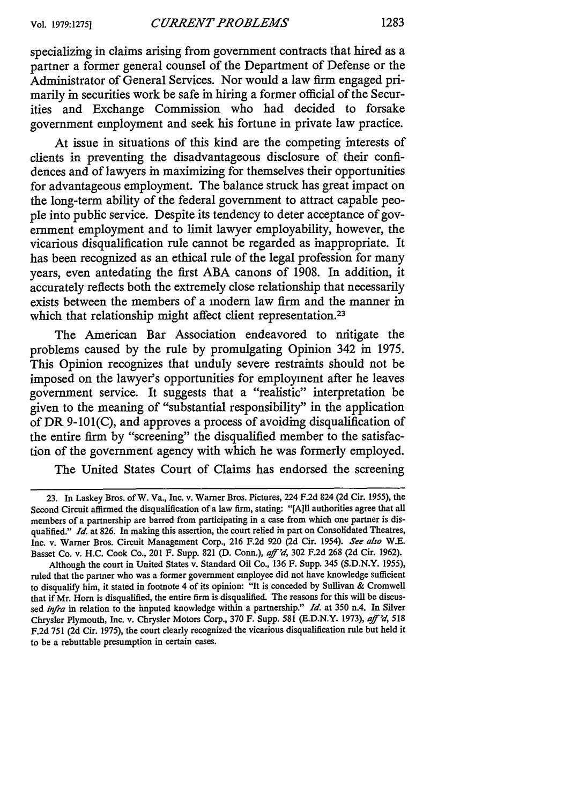specializing in claims arising from government contracts that hired as a partner a former general counsel of the Department of Defense or the Administrator of General Services. Nor would a law firm engaged primarily in securities work be safe in hiring a former official of the Securities and Exchange Commission who had decided to forsake government employment and seek his fortune in private law practice.

At issue in situations of this kind are the competing interests of clients in preventing the disadvantageous disclosure of their confidences and of lawyers in maximizing for themselves their opportunities for advantageous employment. The balance struck has great impact on the long-term ability of the federal government to attract capable people into public service. Despite its tendency to deter acceptance of government employment and to limit lawyer employability, however, the vicarious disqualification rule cannot be regarded as inappropriate. It has been recognized as an ethical rule of the legal profession for many years, even antedating the first ABA canons of 1908. In addition, it accurately reflects both the extremely close relationship that necessarily exists between the members of a modern law firm and the manner in which that relationship might affect client representation.<sup>23</sup>

The American Bar Association endeavored to mitigate the problems caused by the rule by promulgating Opinion 342 in 1975. This Opinion recognizes that unduly severe restraints should not be imposed on the lawyer's opportunities for employment after he leaves government service. It suggests that a "realistic" interpretation be given to the meaning of "substantial responsibility" in the application of DR 9-101(C), and approves a process of avoiding disqualification of the entire firm by "screening" the disqualified member to the satisfaction of the government agency with which he was formerly employed.

The United States Court of Claims has endorsed the screening

<sup>23.</sup> In Laskey Bros. of W. Va., Inc. v. Warner Bros. Pictures, 224 F.2d 824 (2d Cir. 1955), the Second Circuit affirmed the disqualification of a law firm, stating: "[A]ll authorities agree that all members of a partnership are barred from participating in a case from which one partner is disqualified." *Id.* at 826. In making this assertion, the court relied in part on Consolidated Theatres, Inc. v. Warner Bros. Circuit Management Corp., 216 F.2d 920 (2d Cir. 1954). *See also* W.E. Basset Co. v. H.C. Cook Co., 201 F. Supp. 821 (D. Conn.), *aff'd,* 302 F.2d 268 (2d Cir. 1962).

Although the court in United States v. Standard Oil Co., 136 F. Supp. 345 **(S.D.N.Y.** 1955), ruled that the partner who was a former government employee did not have knowledge sufficient to disqualify him, it stated in footnote 4 of its opinion: "It is conceded by Sullivan & Cromwell that if Mr. Horn is disqualified, the entire firm is disqualified. The reasons for this will be discussed *infra* in relation to the imputed knowledge within a partnership." *Id.* at 350 n.4. In Silver Chrysler Plymouth, Inc. v. Chrysler Motors Corp., 370 F. Supp. 581 (E.D.N.Y. 1973), *aff'd, 518* F.2d 751 (2d Cir. 1975), the court clearly recognized the vicarious disqualification rule but held it to be a rebuttable presumption in certain cases.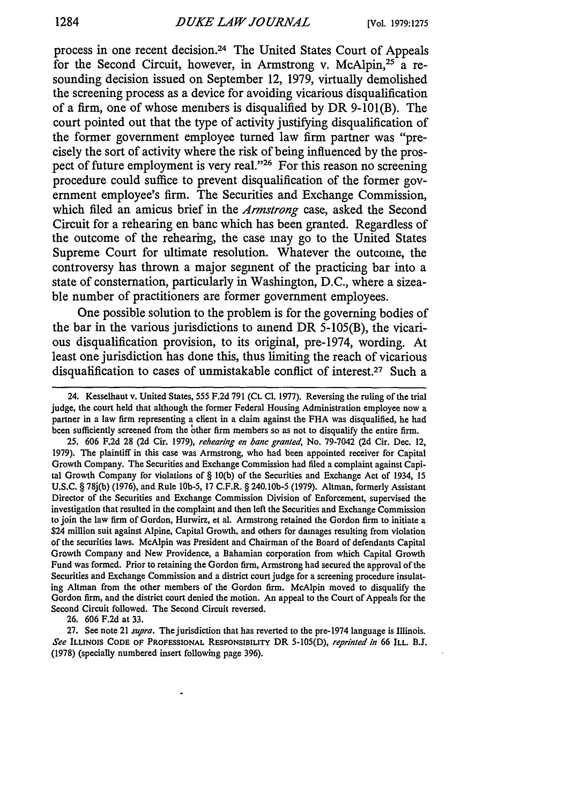process in one recent decision.24 The United States Court of Appeals for the Second Circuit, however, in Armstrong v. McAlpin,<sup>25</sup> a resounding decision issued on September 12, 1979, virtually demolished the screening process as a device for avoiding vicarious disqualification of a firm, one of whose members is disqualified by DR 9-101(B). The court pointed out that the type of activity justifying disqualification of the former government employee turned law firm partner was "precisely the sort of activity where the risk of being influenced by the prospect of future employment is very real."26 For this reason no screening procedure could suffice to prevent disqualification of the former government employee's firm. The Securities and Exchange Commission, which filed an amicus brief in the *Armstrong* case, asked the Second Circuit for a rehearing en banc which has been granted. Regardless of the outcome of the rehearing, the case may go to the United States Supreme Court for ultimate resolution. Whatever the outcome, the controversy has thrown a major segment of the practicing bar into a state of consternation, particularly in Washington, D.C., where a sizeable number of practitioners are former government employees.

One possible solution to the problem is for the governing bodies of the bar in the various jurisdictions to amend DR 5-105(B), the vicarious disqualification provision, to its original, pre-1974, wording. At least one jurisdiction has done this, thus limiting the reach of vicarious disqualification to cases of unmistakable conflict of interest.<sup>27</sup> Such a

25. 606 F.2d 28 (2d Cir. 1979), *rehearing en banc granted,* No. 79-7042 (2d Cir. Dec. 12, 1979). The plaintiff in this case was Armstrong, who had been appointed receiver for Capital Growth Company. The Securities and Exchange Commission had filed a complaint against Capital Growth Company for violations of § 10(b) of the Securities and Exchange Act of 1934, 15 U.S.C. § 78j(b) (1976), and Rule 10b-5, 17 C.F.R. § 240.10b-5 (1979). Altman, formerly Assistant Director of the Securities and Exchange Commission Division of Enforcement, supervised the investigation that resulted in the complaint and then left the Securities and Exchange Commission to join the law firm of Gordon, Hurwirz, et al. Armstrong retained the Gordon firm to initiate a \$24 million suit against Alpine, Capital Growth, and others for damages resulting from violation of the securities laws. McAlpin was President and Chairman of the Board of defendants Capital Growth Company and New Providence, a Bahamian corporation from which Capital Growth Fund was formed. Prior to retaining the Gordon firm, Armstrong had secured the approval of the Securities and Exchange Commission and a district court judge for a screening procedure insulating Altman from the other members of the Gordon firm. McAlpin moved to disqualify the Gordon firm, and the district court denied the motion. An appeal to the Court of Appeals for the Second Circuit followed. The Second Circuit reversed.

**26.** 606 F.2d at 33.

27. See note 21 *supra.* The jurisdiction that has reverted to the pre-1974 language is Illinois. *See* **ILLINOIS CODE** OF **PROFESSIONAL** RESPONSIBILITY DR 5-105(D), *reprinted in* 66 ILL. **B.J.** (1978) (specially numbered insert following page 396).

<sup>24.</sup> Kesselhaut v. United States, 555 F.2d 791 (Ct. **Cl.** 1977). Reversing the ruling of the trial judge, the court held that although the former Federal Housing Administration employee now a partner in a law firm representing a client in a claim against the FHA was disqualified, he had been sufficiently screened from the other firm members so as not to disqualify the entire firm.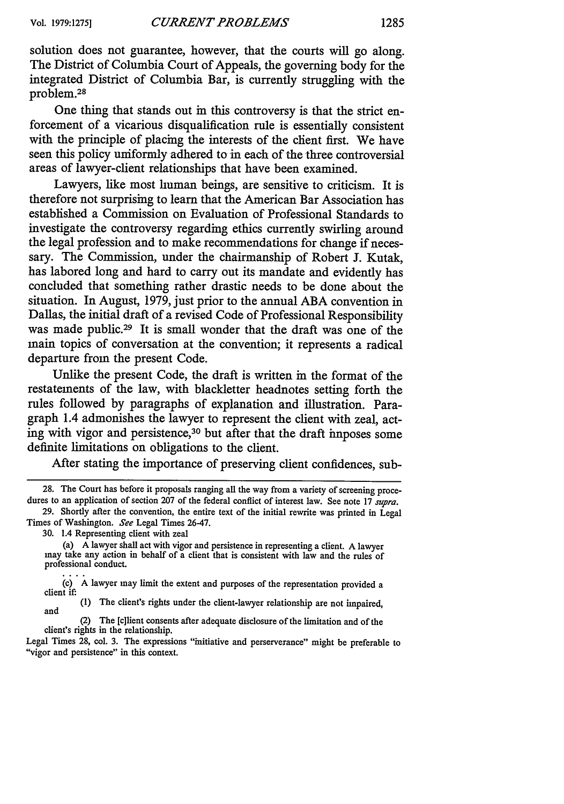solution does not guarantee, however, that the courts will go along. The District of Columbia Court of Appeals, the governing body for the integrated District of Columbia Bar, is currently struggling with the problem.<sup>28</sup>

One thing that stands out in this controversy is that the strict enforcement of a vicarious disqualification rule is essentially consistent with the principle of placing the interests of the client first. We have seen this policy uniformly adhered to in each of the three controversial areas of lawyer-client relationships that have been examined.

Lawyers, like most human beings, are sensitive to criticism. It is therefore not surprising to learn that the American Bar Association has established a Commission on Evaluation of Professional Standards to investigate the controversy regarding ethics currently swirling around the legal profession and to make recommendations for change if necessary. The Commission, under the chairmanship of Robert J. Kutak, has labored long and hard to carry out its mandate and evidently has concluded that something rather drastic needs to be done about the situation. In August, 1979, just prior to the annual ABA convention in Dallas, the initial draft of a revised Code of Professional Responsibility was made public.<sup>29</sup> It is small wonder that the draft was one of the main topics of conversation at the convention; it represents a radical departure from the present Code.

Unlike the present Code, the draft is written in the format of the restatements of the law, with blackletter headnotes setting forth the rules followed by paragraphs of explanation and illustration. Paragraph 1.4 admonishes the lawyer to represent the client with zeal, acting with vigor and persistence,30 but after that the draft imposes some definite limitations on obligations to the client.

After stating the importance of preserving client confidences, sub-

(c) A lawyer may limit the extent and purposes of the representation provided a client **if:**

(1) The client's rights under the client-lawyer relationship are not impaired, and

(2) The [c]lient consents after adequate disclosure of the limitation and of the client's rights in the relationship.

<sup>28.</sup> The Court has before it proposals ranging all the way from a variety of screening procedures to an application of section 207 of the federal conffict of interest law. See note 17 *supra.*

<sup>29.</sup> Shortly after the convention, the entire text of the initial rewrite was printed in Legal Times of Washington. See Legal Times 26-47.

<sup>30. 1.4</sup> Representing client with zeal

<sup>(</sup>a) A lawyer shall act with vigor and persistence in representing a client. A lawyer may take any action in behalf of a client that is consistent with law and the rules of professional conduct.

Legal Times 28, col. 3. The expressions "initiative and perserverance" might be preferable to "vigor and persistence" in this context.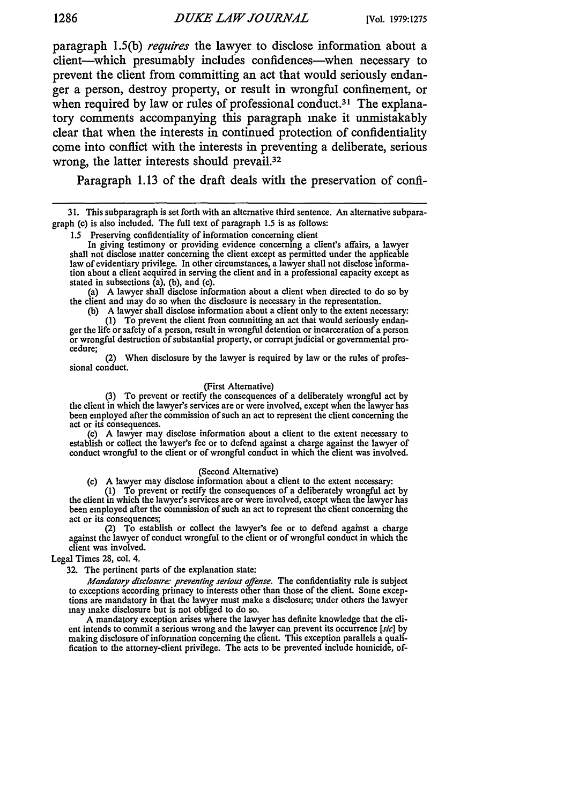paragraph **1.5(b)** *requires* the lawyer to disclose information about a client-which presumably includes confidences-when necessary to prevent the client from committing an act that would seriously endanger a person, destroy property, or result in wrongful confinement, or when required by law or rules of professional conduct.<sup>31</sup> The explanatory comments accompanying this paragraph make it unmistakably clear that when the interests in continued protection of confidentiality come into conflict with the interests in preventing a deliberate, serious wrong, the latter interests should prevail.<sup>32</sup>

Paragraph **1.13** of the draft deals with the preservation of confi-

(a) A lawyer shall disclose information about a client when directed to do so by the client and may do so when the disclosure is necessary in the representation.

(b) A lawyer shall disclose information about a client only to the extent necessary:

**(1)** To prevent the client from committing an act that would seriously endanger the life or safety of a person, result in wrongful detention or incarceration of a person or wrongful destruction of substantial property, or corrupt judicial or governmental procedure;

(2) When disclosure by the lawyer is required by law or the rules of professional conduct.

### (First Alternative)

(3) To prevent or rectify the consequences of a deliberately wrongful act by the client in which the lawyer's services are or were involved, except when the lawyer has been employed after the commission of such an act to represent the client concerning the act or its consequences.

(c) A lawyer may disclose information about a client to the extent necessary to establish or collect the lawyer's fee or to defend against a charge against the lawyer of conduct wrongful to the client or of wrongful conduct in which the client was involved.

### (Second Alternative)

(c) A lawyer may disclose information about a client to the extent necessary:

**(1)** To prevent or rectify the consequences of a deliberately wrongful act by the client in which the lawyer's services are or were involved, except when the lawyer has been employed after the commission of such an act to represent the client concerning the act or its consequences;

(2) To establish or collect the lawyer's fee or to defend against a charge against the lawyer of conduct wrongful to the client or of wrongful conduct in which the client was involved.

### Legal Times **28,** col. 4.

### 32. The pertinent parts of the explanation state:

Mandatory disclosure: preventing serious offense. The confidentiality rule is subject to exceptions according primacy to interests other than those of the client. Some exceptions are mandatory in that the lawyer must make a disclosure; under others the lawyer may make disclosure but is not obliged to do so.

A mandatory exception arises where the lawyer has definite knowledge that the client intends to commit a serious wrong and the lawyer can prevent its occurrence *[sic]* **by** making disclosure of information concerning the client. This exception parallels a qualification to the attorney-client privilege. The acts to be prevented include homicide, of-

<sup>31.</sup> This subparagraph is set forth with an alternative third sentence. An alternative subparagraph (c) is also included. The full text of paragraph 1.5 is as follows:

<sup>1.5</sup> Preserving confidentiality of information concerning client

In giving testimony or providing evidence concerning a client's affairs, a lawyer shall not disclose matter concerning the client except as permitted under the applicable law of evidentiary privilege. In other circumstances, a lawyer shall not disclose informa-tion about a client acquired in serving the client and in a professional capacity except as stated in subsections (a), (b), and (c).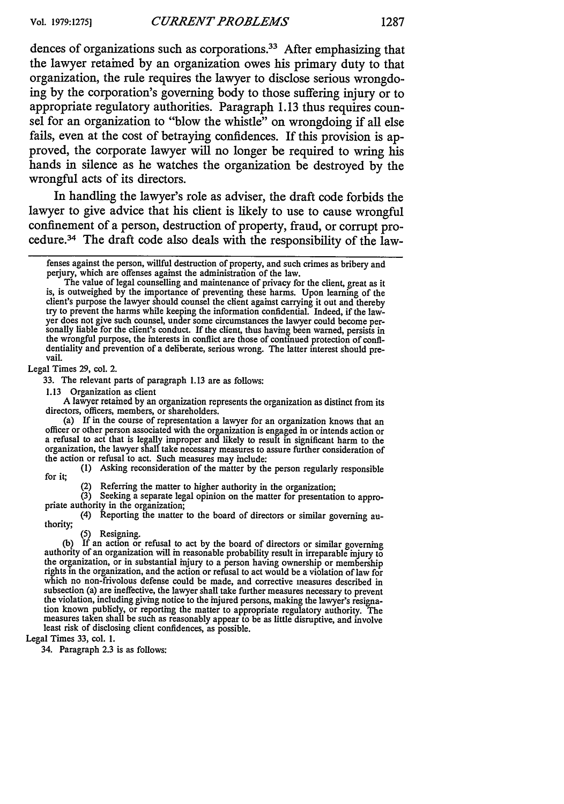dences of organizations such as corporations.<sup>33</sup> After emphasizing that the lawyer retained **by** an organization owes his primary duty to that organization, the rule requires the lawyer to disclose serious wrongdoing **by** the corporation's governing body to those suffering injury or to appropriate regulatory authorities. Paragraph **1.13** thus requires counsel for an organization to "blow the whistle" on wrongdoing if all else fails, even at the cost of betraying confidences. If this provision is approved, the corporate lawyer will no longer be required to wring his hands in silence as he watches the organization be destroyed **by** the wrongful acts of its directors.

In handling the lawyer's role as adviser, the draft code forbids the lawyer to give advice that his client is likely to use to cause wrongful confinement of a person, destruction of property, fraud, or corrupt procedure.34 The draft code also deals with the responsibility of the law-

Legal Times 29, col. 2.

33. The relevant parts of paragraph 1.13 are as follows:

**1.13** Organization as client

A lawyer retained by an organization represents the organization as distinct from its

directors, officers, members, or shareholders.<br>(a) If in the course of representation a lawyer for an organization knows that an (a) If in the course of representation a lawyer for an organization knows that an officer or other person associated with the organization is engaged in or intends action or a refusal to act that is legally improper and l organization, the lawyer shall take necessary measures to assure further consideration of the action or refusal to act. Such measures may include:

for it; (1) Asking reconsideration of the matter by the person regularly responsible

(2) Referring the matter to higher authority in the organization;

(3) Seeking a separate legal opinion on the matter for presentation to appropriate authority in the organization;

priate authority in the organization;<br>
(4) Reporting the matter to the board of directors or similar governing au-<br>
thority;<br>
(5) Resigning.

(b) If an action or refusal to act by the board of directors or similar governing authority of an organization will in reasonable probability result in irreparable injury to the organization, or in substantial injury to a person having ownership or membership rights in the organization, and the action or refusal to act would be a violation of law for which no non-frivolous defense could be made, and corrective measures described in subsection (a) are ineffective, the lawyer shall take further measures necessary to prevent the violation, including giving notice to the miniculations, making the lawyer's resigna-<br>tion known publicly, or reporting the matter to appropriate regulatory authority. The<br>measures taken shall be such as reasonably app least risk of disclosing client confidences, as possible.

Legal Times 33, col. 1.

34. Paragraph 2.3 is as follows:

fenses against the person, willful destruction of property, and such crimes as bribery and perjury, which are offenses against the administration of the law.

The value of legal counselling and maintenance of privacy for the client, great as it is, is outweighed by the importance of preventing these harms. Upon learning of the client's purpose the lawyer should counsel the client against carrying it out and thereby try to prevent the harms while keeping the information confidential. Indeed, if the lawyer does not give such counsel, under some circumstances the lawyer could become per- sonally liable for the client's conduct. If the client, thus having been warned, persists in sonally liable for the client's conduct. If the client, thus having been warned, persists in the wrongful purpose, the interests in conflict are those of continued protection of confidentiality and prevention of a deliberate, serious wrong. The latter interest should prevail.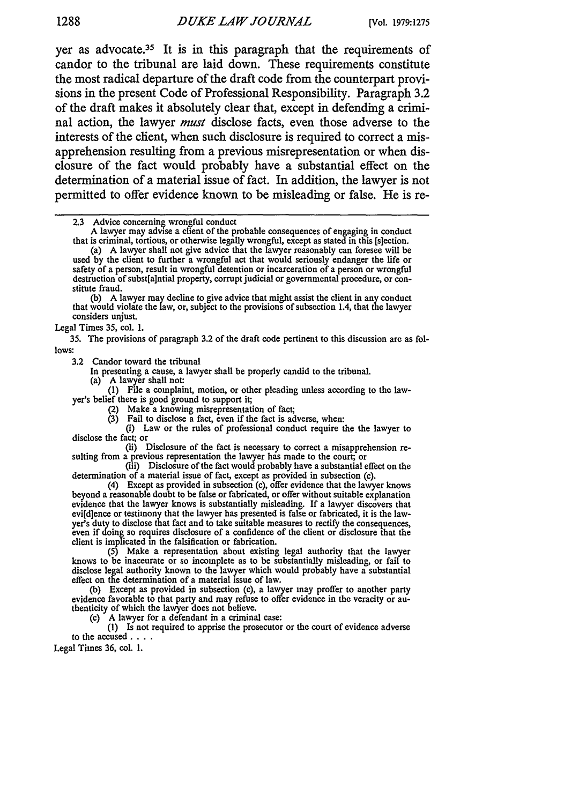yer as advocate.35 It is in this paragraph that the requirements of candor to the tribunal are laid down. These requirements constitute the most radical departure of the draft code from the counterpart provisions in the present Code of Professional Responsibility. Paragraph **3.2** of the draft makes it absolutely clear that, except in defending a criminal action, the lawyer *must* disclose facts, even those adverse to the interests of the client, when such disclosure is required to correct a misapprehension resulting from a previous misrepresentation or when disclosure of the fact would probably have a substantial effect on the determination of a material issue of fact. In addition, the lawyer is not permitted to offer evidence known to be misleading or false. He is re-

(b) A lawyer may decline to give advice that might assist the client in any conduct that would violate the law, or, subject to the provisions of subsection 1.4, that the lawyer considers unjust.

Legal Times 35, col. 1.

35. The provisions of paragraph 3.2 of the draft code pertinent to this discussion are as fol**lows:**

**3.2** Candor toward the tribunal

In presenting a cause, a lawyer shall be properly candid to the tribunal.

(a) A lawyer shall not:

**(1)** File a complaint, motion, or other pleading unless according to the lawyer's belief there is good ground to support it;

(2) Make a knowing misrepresentation of fact;

(3) Fail to disclose a fact, even if the fact is adverse, when:

(i) Law or the rules of professional conduct require the the lawyer to disclose the fact; or (ii) Disclosure of the fact is necessary to correct a misapprehension re-

sulting from a previous representation the lawyer has made to the court; or

(iii) Disclosure of the fact would probably have a substantial effect on the determination of a material issue of fact, except as provided in subsection (c).

(4) Except as provided in subsection (c), offer evidence that the lawyer knows beyond a reasonable doubt to be false or fabricated, or offer without suitable explanation evidence that the lawyer knows is substantially misleading. If a lawyer discovers that evi[d]ence or testimony that the lawyer has presented is false or fabricated, it is the law-yer's duty to disclose that fact and to take suitable measures to rectify the consequences, even if doing so requires disclosure of a confidence of the client or disclosure that the client is implicated in the falsification or fabrication.

(5) Make a representation about existing legal authority that the lawyer knows to be inaccurate or so incomplete as to be substantially misleading, or fail to disclose legal authority known to the lawyer which would probably have a substantial effect on the determination of a material issue of law.

(b) Except as provided in subsection (c), a lawyer may proffer to another party evidence favorable to that party and may refuse to offer evidence in the veracity or authenticity of which the lawyer does not believe.

A lawyer for a defendant in a criminal case:

**(1)** Is not required to apprise the prosecutor or the court of evidence adverse to the accused. . **..**

Legal Times **36,** col. **1.**

<sup>2.3</sup> Advice concerning wrongful conduct

*A* lawyer may advise a client of the probable consequences of engaging in conduct that is criminal, tortious, or otherwise legally wrongful, except as stated in this [slection.

<sup>(</sup>a) A lawyer shall not give advice that the lawyer reasonably can foresee will be used by the client to further a wrongful act that would seriously endanger the life or safety of a person, result in wrongful detention or incarceration of a person or wrongful destruction of subst[alntial property, corrupt judicial or governmental procedure, or constitute fraud.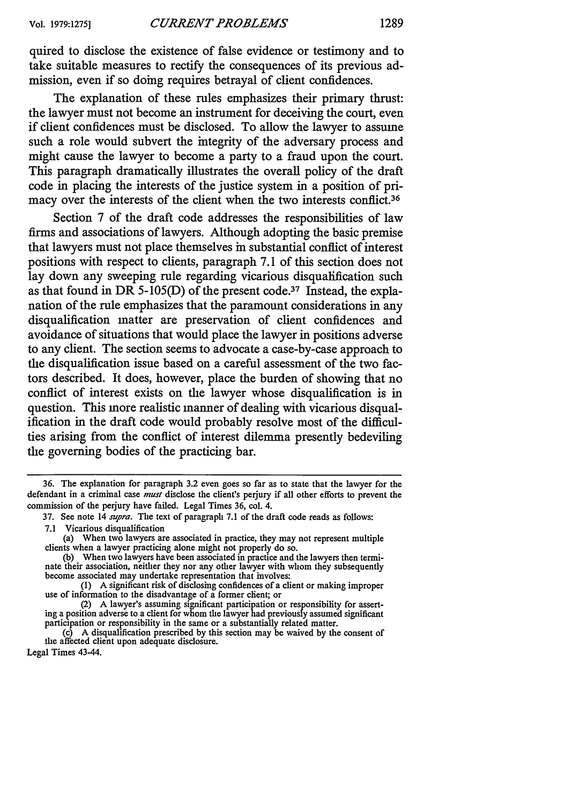quired to disclose the existence of false evidence or testimony and to take suitable measures to rectify the consequences of its previous admission, even if so doing requires betrayal of client confidences.

The explanation of these rules emphasizes their primary thrust: the lawyer must not become an instrument for deceiving the court, even if client confidences must be disclosed. To allow the lawyer to assume such a role would subvert the integrity of the adversary process and might cause the lawyer to become a party to a fraud upon the court. This paragraph dramatically illustrates the overall policy of the draft code in placing the interests of the justice system in a position of primacy over the interests of the client when the two interests conflict.<sup>36</sup>

Section 7 of the draft code addresses the responsibilities of law firms and associations of lawyers. Although adopting the basic premise that lawyers must not place themselves in substantial conflict of interest positions with respect to clients, paragraph 7.1 of this section does not lay down any sweeping rule regarding vicarious disqualification such as that found in DR 5-105(D) of the present code.37 Instead, the explanation of the rule emphasizes that the paramount considerations in any disqualification matter are preservation of client confidences and avoidance of situations that would place the lawyer in positions adverse to any client. The section seems to advocate a case-by-case approach to the disqualification issue based on a careful assessment of the two factors described. It does, however, place the burden of showing that no conflict of interest exists on the lawyer whose disqualification is in question. This more realistic manner of dealing with vicarious disqualification in the draft code would probably resolve most of the difficulties arising from the conflict of interest dilemma presently bedeviling the governing bodies of the practicing bar.

Legal Times 43-44.

<sup>36.</sup> The explanation for paragraph 3.2 even goes so far as to state that the lawyer for the defendant in a criminal case *must* disclose the client's perjury if all other efforts to prevent the commission of the perjury have failed. Legal Times 36, col. 4.

<sup>37.</sup> See note 14 *supra.* The text of paragraph 7.1 of the draft code reads as follows:

<sup>7.1</sup> Vicarious disqualification

<sup>(</sup>a) When two lawyers are associated in practice, they may not represent multiple clients when a lawyer practicing alone might not properly do so.

**<sup>(</sup>b)** When two lawyers have been associated in practice and the lawyers then termi-nate their association, neither they nor any other lawyer with whom they subsequently become associated may undertake representation that involves:

**<sup>(1)</sup>** A significant risk of disclosing confidences of a client or making improper use of information to the disadvantage of a former client; or

<sup>(2)</sup> A lawyer's assuming significant participation or responsibility for asserting a position adverse to a client for whom the lawyer had previously assumed significant participation or responsibility in the same or a substantially related matter.

<sup>(</sup>c) A disqualification prescribed by this section may be waived by the consent of the affected client upon adequate disclosure.